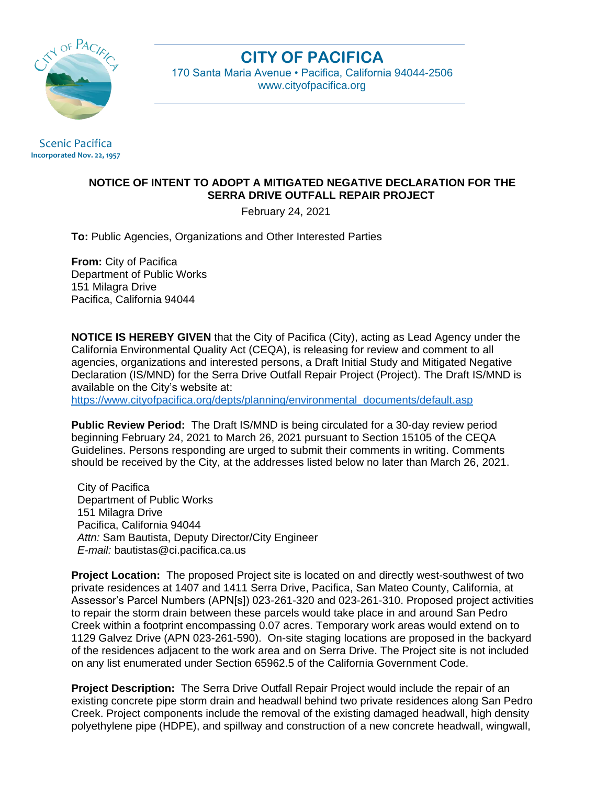

## **CITY OF PACIFICA**

170 Santa Maria Avenue • Pacifica, California 94044-2506 [www.cityofpacifica.org](http://www.cityofpacifica.org/)

Scenic Pacifica **Incorporated Nov. 22, 1957**

## **NOTICE OF INTENT TO ADOPT A MITIGATED NEGATIVE DECLARATION FOR THE SERRA DRIVE OUTFALL REPAIR PROJECT**

February 24, 2021

**To:** Public Agencies, Organizations and Other Interested Parties

**From:** City of Pacifica Department of Public Works 151 Milagra Drive Pacifica, California 94044

**NOTICE IS HEREBY GIVEN** that the City of Pacifica (City), acting as Lead Agency under the California Environmental Quality Act (CEQA), is releasing for review and comment to all agencies, organizations and interested persons, a Draft Initial Study and Mitigated Negative Declaration (IS/MND) for the Serra Drive Outfall Repair Project (Project). The Draft IS/MND is available on the City's website at:

[https://www.cityofpacifica.org/depts/planning/environmental\\_documents/default.asp](https://www.cityofpacifica.org/depts/planning/environmental_documents/default.asp)

**Public Review Period:** The Draft IS/MND is being circulated for a 30-day review period beginning February 24, 2021 to March 26, 2021 pursuant to Section 15105 of the CEQA Guidelines. Persons responding are urged to submit their comments in writing. Comments should be received by the City, at the addresses listed below no later than March 26, 2021.

City of Pacifica Department of Public Works 151 Milagra Drive Pacifica, California 94044  *Attn:* Sam Bautista, Deputy Director/City Engineer  *E-mail:* bautistas@ci.pacifica.ca.us

**Project Location:** The proposed Project site is located on and directly west-southwest of two private residences at 1407 and 1411 Serra Drive, Pacifica, San Mateo County, California, at Assessor's Parcel Numbers (APN[s]) 023-261-320 and 023-261-310. Proposed project activities to repair the storm drain between these parcels would take place in and around San Pedro Creek within a footprint encompassing 0.07 acres. Temporary work areas would extend on to 1129 Galvez Drive (APN 023-261-590). On-site staging locations are proposed in the backyard of the residences adjacent to the work area and on Serra Drive. The Project site is not included on any list enumerated under Section 65962.5 of the California Government Code.

**Project Description:** The Serra Drive Outfall Repair Project would include the repair of an existing concrete pipe storm drain and headwall behind two private residences along San Pedro Creek. Project components include the removal of the existing damaged headwall, high density polyethylene pipe (HDPE), and spillway and construction of a new concrete headwall, wingwall,